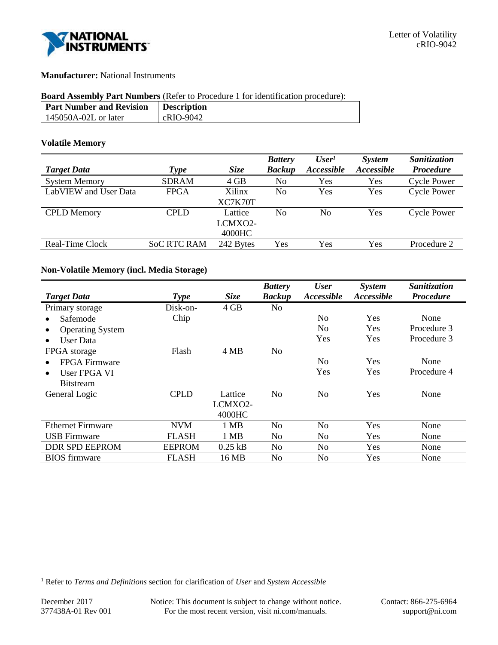

### **Manufacturer:** National Instruments

# **Board Assembly Part Numbers** (Refer to Procedure 1 for identification procedure):

| <b>Part Number and Revision</b> | <b>Description</b> |
|---------------------------------|--------------------|
| 145050A-02L or later            | cRIO-9042          |

#### **Volatile Memory**

|                       |                    |             | <b>Battery</b> | User <sup>1</sup> | System     | Sanitization       |
|-----------------------|--------------------|-------------|----------------|-------------------|------------|--------------------|
| <b>Target Data</b>    | <b>Type</b>        | <b>Size</b> | <b>Backup</b>  | Accessible        | Accessible | <b>Procedure</b>   |
| <b>System Memory</b>  | <b>SDRAM</b>       | 4 GB        | No             | Yes               | Yes        | <b>Cycle Power</b> |
| LabVIEW and User Data | <b>FPGA</b>        | Xilinx      | No             | Yes               | Yes        | <b>Cycle Power</b> |
|                       |                    | XC7K70T     |                |                   |            |                    |
| <b>CPLD</b> Memory    | <b>CPLD</b>        | Lattice     | No             | No                | Yes        | <b>Cycle Power</b> |
|                       |                    | LCMXO2-     |                |                   |            |                    |
|                       |                    | 4000HC      |                |                   |            |                    |
| Real-Time Clock       | <b>SoC RTC RAM</b> | 242 Bytes   | Yes            | Yes               | Yes        | Procedure 2        |
|                       |                    |             |                |                   |            |                    |

### **Non-Volatile Memory (incl. Media Storage)**

|                          |               |             | <b>Battery</b> | <b>User</b>       | System            | Sanitization     |
|--------------------------|---------------|-------------|----------------|-------------------|-------------------|------------------|
| <b>Target Data</b>       | <b>Type</b>   | <b>Size</b> | <b>Backup</b>  | <i>Accessible</i> | <b>Accessible</b> | <b>Procedure</b> |
| Primary storage          | Disk-on-      | 4 GB        | No             |                   |                   |                  |
| Safemode                 | Chip          |             |                | N <sub>0</sub>    | Yes               | None             |
| <b>Operating System</b>  |               |             |                | N <sub>0</sub>    | Yes               | Procedure 3      |
| User Data                |               |             |                | Yes               | Yes               | Procedure 3      |
| FPGA storage             | Flash         | 4 MB        | N <sub>o</sub> |                   |                   |                  |
| FPGA Firmware            |               |             |                | No                | Yes               | None             |
| User FPGA VI             |               |             |                | Yes               | Yes               | Procedure 4      |
| <b>Bitstream</b>         |               |             |                |                   |                   |                  |
| General Logic            | <b>CPLD</b>   | Lattice     | N <sub>o</sub> | No                | Yes               | None             |
|                          |               | LCMXO2-     |                |                   |                   |                  |
|                          |               | 4000HC      |                |                   |                   |                  |
| <b>Ethernet Firmware</b> | <b>NVM</b>    | 1 MB        | No             | No                | Yes               | None             |
| <b>USB</b> Firmware      | <b>FLASH</b>  | 1 MB        | No             | N <sub>o</sub>    | Yes               | None             |
| <b>DDR SPD EEPROM</b>    | <b>EEPROM</b> | $0.25$ kB   | N <sub>0</sub> | N <sub>0</sub>    | Yes               | None             |
| <b>BIOS</b> firmware     | <b>FLASH</b>  | 16 MB       | No             | No                | Yes               | None             |

l

<sup>1</sup> Refer to *Terms and Definitions* section for clarification of *User* and *System Accessible*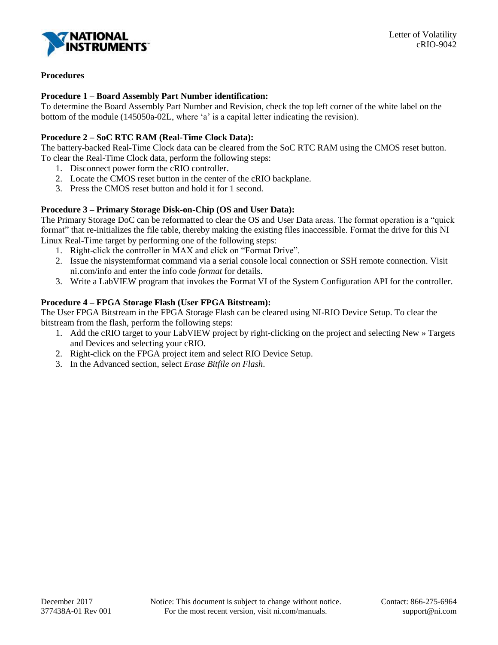

# **Procedures**

### **Procedure 1 – Board Assembly Part Number identification:**

To determine the Board Assembly Part Number and Revision, check the top left corner of the white label on the bottom of the module (145050a-02L, where 'a' is a capital letter indicating the revision).

### **Procedure 2 – SoC RTC RAM (Real-Time Clock Data):**

The battery-backed Real-Time Clock data can be cleared from the SoC RTC RAM using the CMOS reset button. To clear the Real-Time Clock data, perform the following steps:

- 1. Disconnect power form the cRIO controller.
- 2. Locate the CMOS reset button in the center of the cRIO backplane.
- 3. Press the CMOS reset button and hold it for 1 second.

# **Procedure 3 – Primary Storage Disk-on-Chip (OS and User Data):**

The Primary Storage DoC can be reformatted to clear the OS and User Data areas. The format operation is a "quick format" that re-initializes the file table, thereby making the existing files inaccessible. Format the drive for this NI Linux Real-Time target by performing one of the following steps:

- 1. Right-click the controller in MAX and click on "Format Drive".
- 2. Issue the nisystemformat command via a serial console local connection or SSH remote connection. Visit ni.com/info and enter the info code *format* for details.
- 3. Write a LabVIEW program that invokes the Format VI of the System Configuration API for the controller.

# **Procedure 4 – FPGA Storage Flash (User FPGA Bitstream):**

The User FPGA Bitstream in the FPGA Storage Flash can be cleared using NI-RIO Device Setup. To clear the bitstream from the flash, perform the following steps:

- 1. Add the cRIO target to your LabVIEW project by right-clicking on the project and selecting New » Targets and Devices and selecting your cRIO.
- 2. Right-click on the FPGA project item and select RIO Device Setup.
- 3. In the Advanced section, select *Erase Bitfile on Flash*.